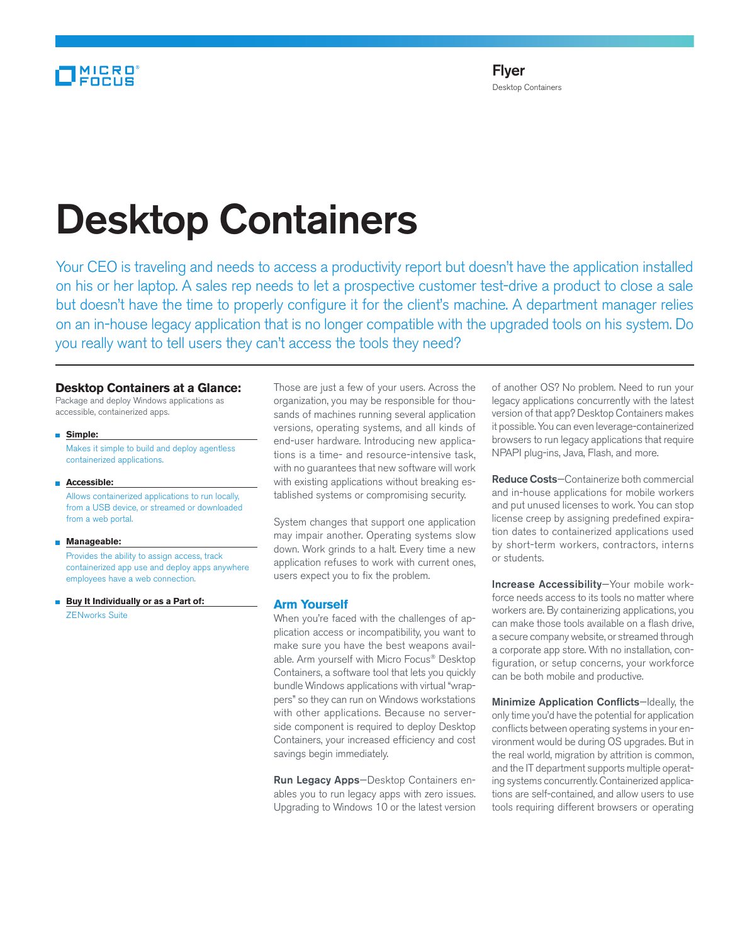# Desktop Containers

Your CEO is traveling and needs to access a productivity report but doesn't have the application installed on his or her laptop. A sales rep needs to let a prospective customer test-drive a product to close a sale but doesn't have the time to properly configure it for the client's machine. A department manager relies on an in-house legacy application that is no longer compatible with the upgraded tools on his system. Do you really want to tell users they can't access the tools they need?

## **Desktop Containers at a Glance:**

Package and deploy Windows applications as accessible, containerized apps.

 **Simple:**

 Makes it simple to build and deploy agentless containerized applications.

**Accessible:**

 Allows containerized applications to run locally, from a USB device, or streamed or downloaded from a web portal.

#### **Manageable:**

 Provides the ability to assign access, track containerized app use and deploy apps anywhere employees have a web connection.

**Buy It Individually or as a Part of:** ZENworks Suite

Those are just a few of your users. Across the organization, you may be responsible for thousands of machines running several application versions, operating systems, and all kinds of end-user hardware. Introducing new applications is a time- and resource-intensive task, with no guarantees that new software will work with existing applications without breaking established systems or compromising security.

System changes that support one application may impair another. Operating systems slow down. Work grinds to a halt. Every time a new application refuses to work with current ones, users expect you to fix the problem.

# **Arm Yourself**

When you're faced with the challenges of application access or incompatibility, you want to make sure you have the best weapons available. Arm yourself with Micro Focus® Desktop Containers, a software tool that lets you quickly bundle Windows applications with virtual "wrappers" so they can run on Windows workstations with other applications. Because no serverside component is required to deploy Desktop Containers, your increased efficiency and cost savings begin immediately.

Run Legacy Apps—Desktop Containers enables you to run legacy apps with zero issues. Upgrading to Windows 10 or the latest version of another OS? No problem. Need to run your legacy applications concurrently with the latest version of that app? Desktop Containers makes it possible. You can even leverage-containerized browsers to run legacy applications that require NPAPI plug-ins, Java, Flash, and more.

Reduce Costs—Containerize both commercial and in-house applications for mobile workers and put unused licenses to work. You can stop license creep by assigning predefined expiration dates to containerized applications used by short-term workers, contractors, interns or students.

Increase Accessibility—Your mobile workforce needs access to its tools no matter where workers are. By containerizing applications, you can make those tools available on a flash drive, a secure company website, or streamed through a corporate app store. With no installation, configuration, or setup concerns, your workforce can be both mobile and productive.

Minimize Application Conflicts-Ideally, the only time you'd have the potential for application conflicts between operating systems in your environment would be during OS upgrades. But in the real world, migration by attrition is common, and the IT department supports multiple operating systems concurrently. Containerized applications are self-contained, and allow users to use tools requiring different browsers or operating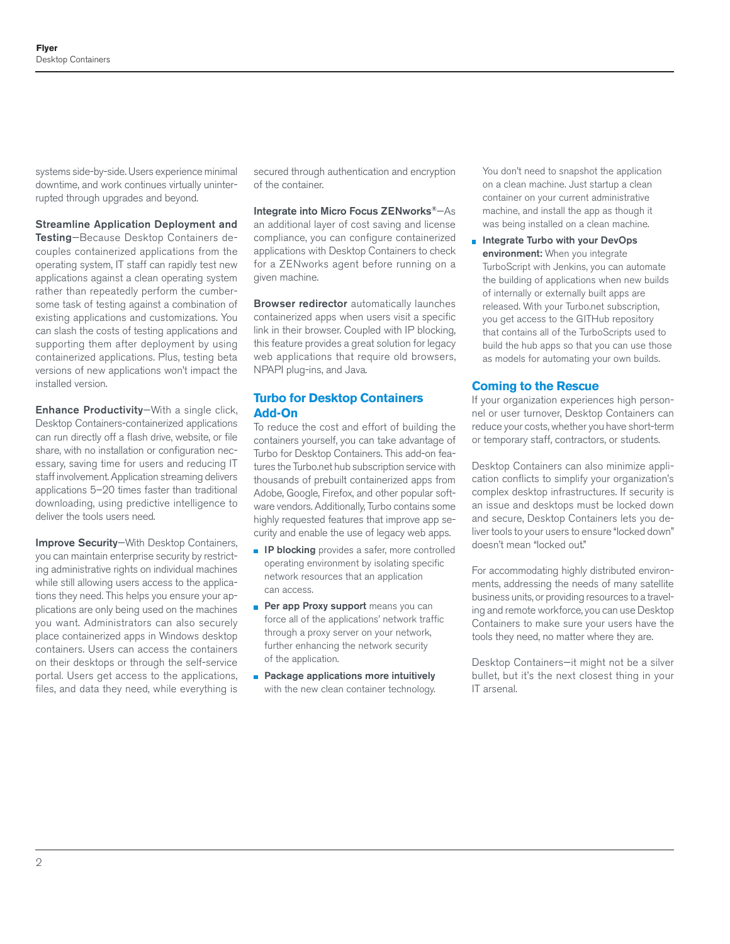systems side-by-side. Users experience minimal downtime, and work continues virtually uninterrupted through upgrades and beyond.

### Streamline Application Deployment and

Testing—Because Desktop Containers decouples containerized applications from the operating system, IT staff can rapidly test new applications against a clean operating system rather than repeatedly perform the cumbersome task of testing against a combination of existing applications and customizations. You can slash the costs of testing applications and supporting them after deployment by using containerized applications. Plus, testing beta versions of new applications won't impact the installed version.

Enhance Productivity—With a single click, Desktop Containers-containerized applications can run directly off a flash drive, website, or file share, with no installation or configuration necessary, saving time for users and reducing IT staff involvement. Application streaming delivers applications 5–20 times faster than traditional downloading, using predictive intelligence to deliver the tools users need.

Improve Security—With Desktop Containers, you can maintain enterprise security by restricting administrative rights on individual machines while still allowing users access to the applications they need. This helps you ensure your applications are only being used on the machines you want. Administrators can also securely place containerized apps in Windows desktop containers. Users can access the containers on their desktops or through the self-service portal. Users get access to the applications, files, and data they need, while everything is

secured through authentication and encryption of the container.

Integrate into Micro Focus ZENworks®—As an additional layer of cost saving and license compliance, you can configure containerized applications with Desktop Containers to check for a ZENworks agent before running on a given machine.

**Browser redirector** automatically launches containerized apps when users visit a specific link in their browser. Coupled with IP blocking, this feature provides a great solution for legacy web applications that require old browsers, NPAPI plug-ins, and Java.

## **Turbo for Desktop Containers Add-On**

To reduce the cost and effort of building the containers yourself, you can take advantage of Turbo for Desktop Containers. This add-on features the Turbo.net hub subscription service with thousands of prebuilt containerized apps from Adobe, Google, Firefox, and other popular software vendors. Additionally, Turbo contains some highly requested features that improve app security and enable the use of legacy web apps.

- **IP blocking** provides a safer, more controlled operating environment by isolating specific network resources that an application can access.
- Per app Proxy support means you can force all of the applications' network traffic through a proxy server on your network, further enhancing the network security of the application.
- **Package applications more intuitively** with the new clean container technology.

You don't need to snapshot the application on a clean machine. Just startup a clean container on your current administrative machine, and install the app as though it was being installed on a clean machine.

**n** Integrate Turbo with your DevOps environment: When you integrate TurboScript with Jenkins, you can automate the building of applications when new builds of internally or externally built apps are released. With your Turbo.net subscription, you get access to the GITHub repository that contains all of the TurboScripts used to build the hub apps so that you can use those as models for automating your own builds.

# **Coming to the Rescue**

If your organization experiences high personnel or user turnover, Desktop Containers can reduce your costs, whether you have short-term or temporary staff, contractors, or students.

Desktop Containers can also minimize application conflicts to simplify your organization's complex desktop infrastructures. If security is an issue and desktops must be locked down and secure, Desktop Containers lets you deliver tools to your users to ensure "locked down" doesn't mean "locked out."

For accommodating highly distributed environments, addressing the needs of many satellite business units, or providing resources to a traveling and remote workforce, you can use Desktop Containers to make sure your users have the tools they need, no matter where they are.

Desktop Containers—it might not be a silver bullet, but it's the next closest thing in your IT arsenal.